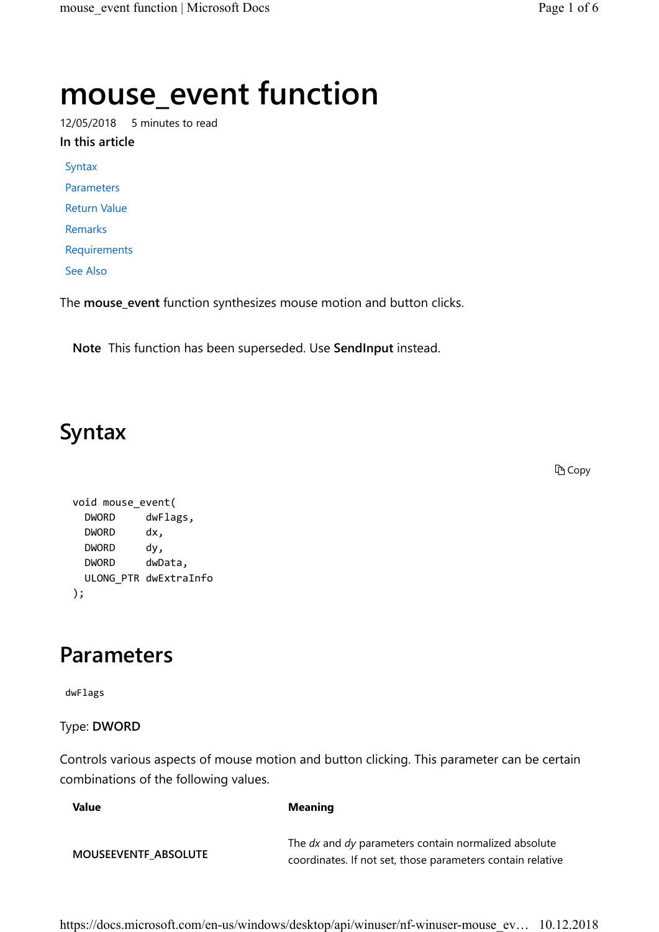# mouse\_event function

12/05/2018 5 minutes to read

In this article

Syntax

Parameters

Return Value

Remarks

Requirements

See Also

The mouse\_event function synthesizes mouse motion and button clicks.

Note This function has been superseded. Use SendInput instead.

# Syntax

**D** Copy

```
void mouse_event( 
  DWORD dwFlags, 
  DWORD dx, 
 DWORD dy,
  DWORD dwData, 
  ULONG_PTR dwExtraInfo 
);
```
### Parameters

dwFlags

#### Type: DWORD

Controls various aspects of mouse motion and button clicking. This parameter can be certain combinations of the following values.

| Value                       | <b>Meaning</b>                                                                                                     |
|-----------------------------|--------------------------------------------------------------------------------------------------------------------|
| <b>MOUSEEVENTF ABSOLUTE</b> | The dx and dy parameters contain normalized absolute<br>coordinates. If not set, those parameters contain relative |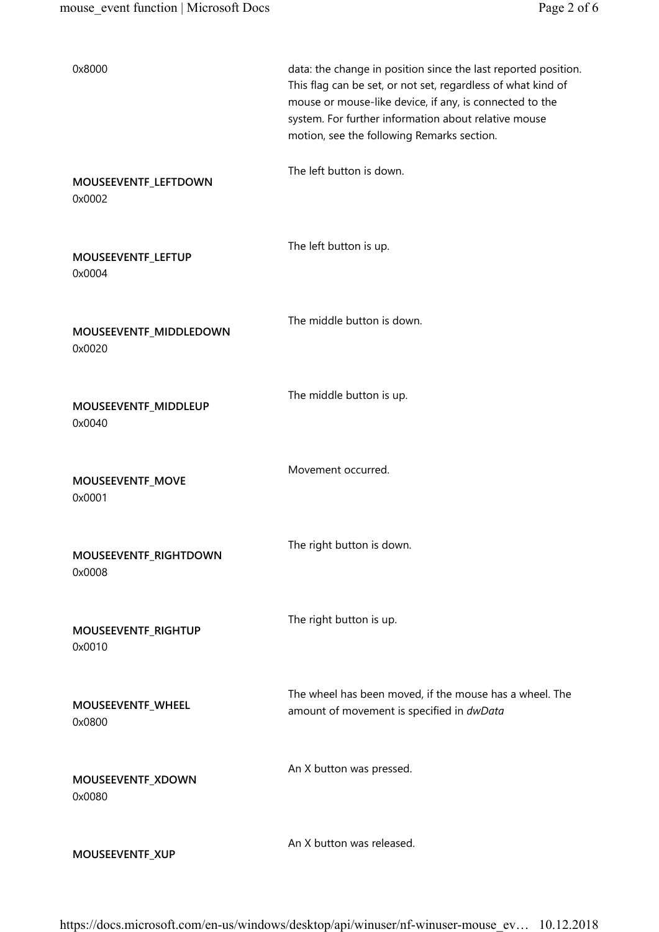| 0x8000                           | data: the change in position since the last reported position.<br>This flag can be set, or not set, regardless of what kind of<br>mouse or mouse-like device, if any, is connected to the<br>system. For further information about relative mouse<br>motion, see the following Remarks section. |
|----------------------------------|-------------------------------------------------------------------------------------------------------------------------------------------------------------------------------------------------------------------------------------------------------------------------------------------------|
| MOUSEEVENTF_LEFTDOWN<br>0x0002   | The left button is down.                                                                                                                                                                                                                                                                        |
| MOUSEEVENTF_LEFTUP<br>0x0004     | The left button is up.                                                                                                                                                                                                                                                                          |
| MOUSEEVENTF_MIDDLEDOWN<br>0x0020 | The middle button is down.                                                                                                                                                                                                                                                                      |
| MOUSEEVENTF_MIDDLEUP<br>0x0040   | The middle button is up.                                                                                                                                                                                                                                                                        |
| MOUSEEVENTF_MOVE<br>0x0001       | Movement occurred.                                                                                                                                                                                                                                                                              |
| MOUSEEVENTF_RIGHTDOWN<br>0x0008  | The right button is down.                                                                                                                                                                                                                                                                       |
| MOUSEEVENTF_RIGHTUP<br>0x0010    | The right button is up.                                                                                                                                                                                                                                                                         |
| MOUSEEVENTF_WHEEL<br>0x0800      | The wheel has been moved, if the mouse has a wheel. The<br>amount of movement is specified in dwData                                                                                                                                                                                            |
| MOUSEEVENTF_XDOWN<br>0x0080      | An X button was pressed.                                                                                                                                                                                                                                                                        |
| MOUSEEVENTF_XUP                  | An X button was released.                                                                                                                                                                                                                                                                       |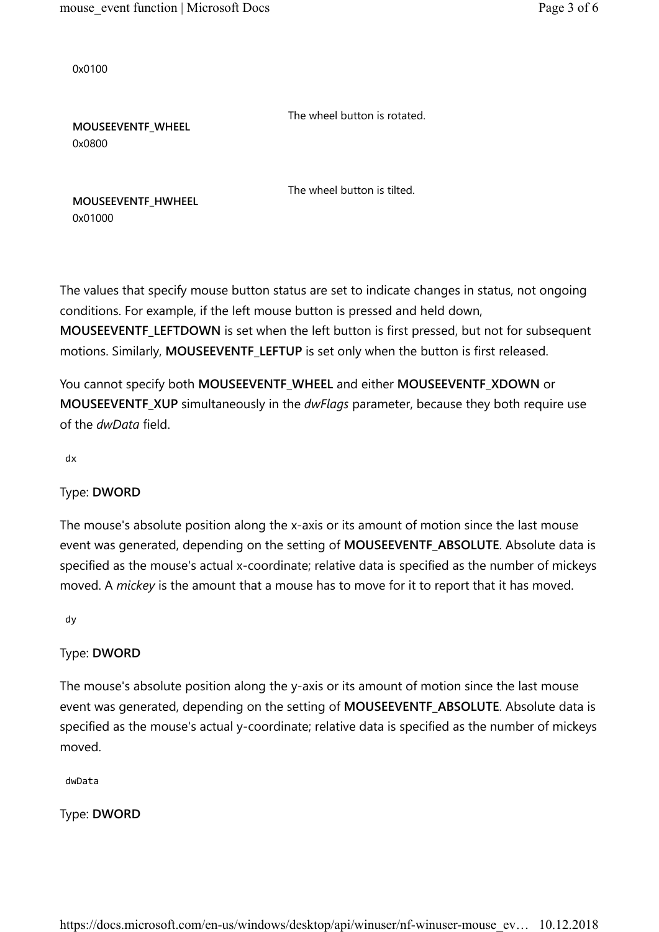0x0100

The wheel button is rotated.

MOUSEEVENTF\_WHEEL 0x0800

The wheel button is tilted.

MOUSEEVENTF\_HWHEEL 0x01000

The values that specify mouse button status are set to indicate changes in status, not ongoing conditions. For example, if the left mouse button is pressed and held down, MOUSEEVENTF\_LEFTDOWN is set when the left button is first pressed, but not for subsequent motions. Similarly, MOUSEEVENTF\_LEFTUP is set only when the button is first released.

You cannot specify both MOUSEEVENTF\_WHEEL and either MOUSEEVENTF\_XDOWN or MOUSEEVENTF\_XUP simultaneously in the *dwFlags* parameter, because they both require use of the dwData field.

dx

#### Type: DWORD

The mouse's absolute position along the x-axis or its amount of motion since the last mouse event was generated, depending on the setting of MOUSEEVENTF\_ABSOLUTE. Absolute data is specified as the mouse's actual x-coordinate; relative data is specified as the number of mickeys moved. A mickey is the amount that a mouse has to move for it to report that it has moved.

dy

#### Type: DWORD

The mouse's absolute position along the y-axis or its amount of motion since the last mouse event was generated, depending on the setting of MOUSEEVENTF\_ABSOLUTE. Absolute data is specified as the mouse's actual y-coordinate; relative data is specified as the number of mickeys moved.

dwData

Type: DWORD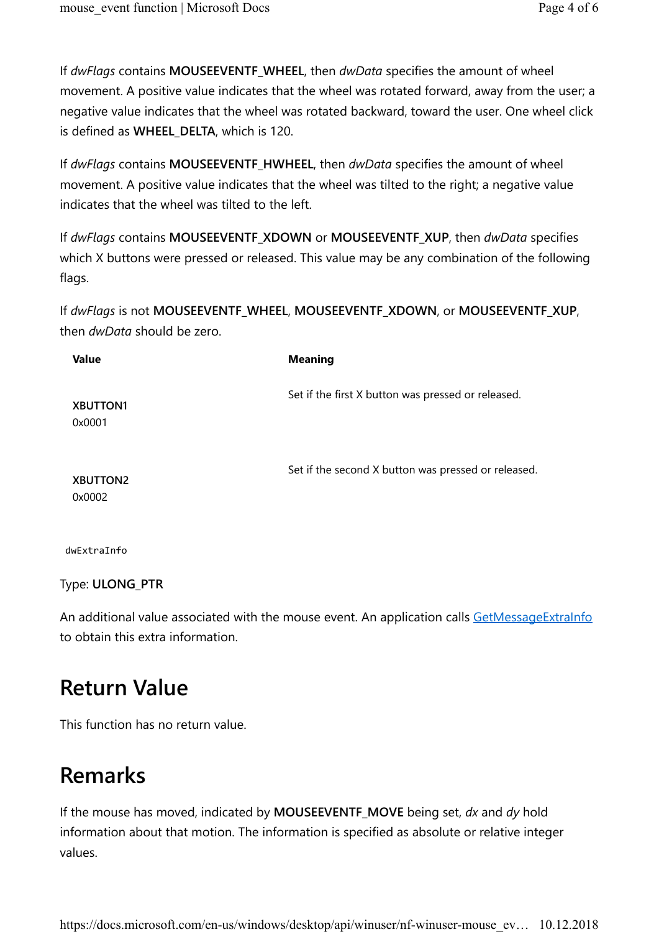If dwFlags contains MOUSEEVENTF\_WHEEL, then dwData specifies the amount of wheel movement. A positive value indicates that the wheel was rotated forward, away from the user; a negative value indicates that the wheel was rotated backward, toward the user. One wheel click is defined as WHEEL\_DELTA, which is 120.

If dwFlags contains MOUSEEVENTF\_HWHEEL, then dwData specifies the amount of wheel movement. A positive value indicates that the wheel was tilted to the right; a negative value indicates that the wheel was tilted to the left.

If dwFlags contains MOUSEEVENTF\_XDOWN or MOUSEEVENTF\_XUP, then dwData specifies which X buttons were pressed or released. This value may be any combination of the following flags.

If dwFlags is not MOUSEEVENTF\_WHEEL, MOUSEEVENTF\_XDOWN, or MOUSEEVENTF\_XUP, then dwData should be zero.

| <b>Value</b>              | <b>Meaning</b>                                      |
|---------------------------|-----------------------------------------------------|
| <b>XBUTTON1</b><br>0x0001 | Set if the first X button was pressed or released.  |
| <b>XBUTTON2</b><br>0x0002 | Set if the second X button was pressed or released. |

dwExtraInfo

Type: ULONG\_PTR

An additional value associated with the mouse event. An application calls GetMessageExtraInfo to obtain this extra information.

# Return Value

This function has no return value.

# Remarks

If the mouse has moved, indicated by **MOUSEEVENTF\_MOVE** being set,  $dx$  and  $dy$  hold information about that motion. The information is specified as absolute or relative integer values.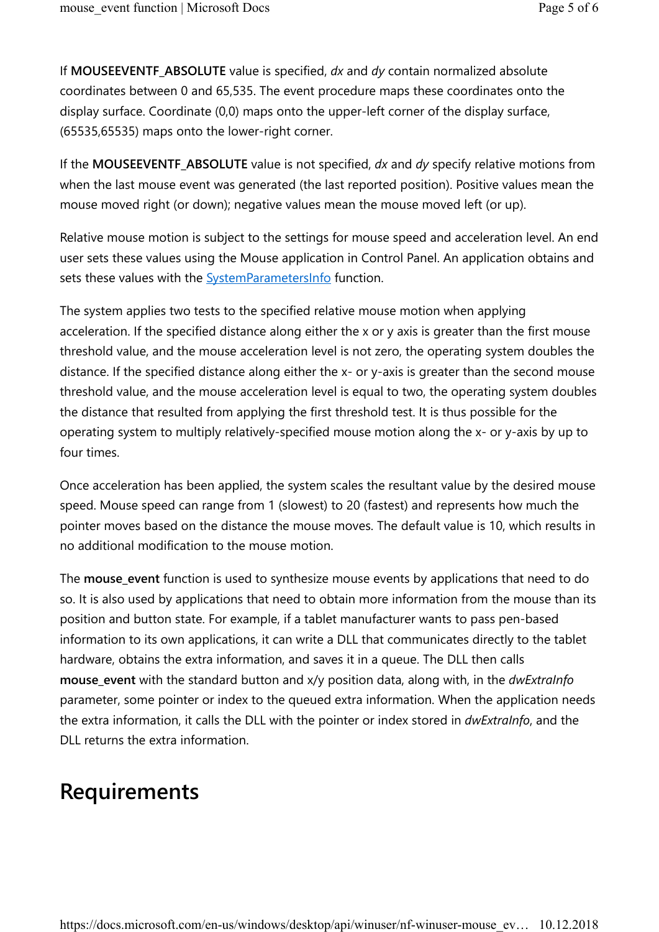If MOUSEEVENTF\_ABSOLUTE value is specified,  $dx$  and  $dy$  contain normalized absolute coordinates between 0 and 65,535. The event procedure maps these coordinates onto the display surface. Coordinate (0,0) maps onto the upper-left corner of the display surface, (65535,65535) maps onto the lower-right corner.

If the MOUSEEVENTF\_ABSOLUTE value is not specified,  $dx$  and  $dy$  specify relative motions from when the last mouse event was generated (the last reported position). Positive values mean the mouse moved right (or down); negative values mean the mouse moved left (or up).

Relative mouse motion is subject to the settings for mouse speed and acceleration level. An end user sets these values using the Mouse application in Control Panel. An application obtains and sets these values with the **SystemParametersInfo** function.

The system applies two tests to the specified relative mouse motion when applying acceleration. If the specified distance along either the x or y axis is greater than the first mouse threshold value, and the mouse acceleration level is not zero, the operating system doubles the distance. If the specified distance along either the x- or y-axis is greater than the second mouse threshold value, and the mouse acceleration level is equal to two, the operating system doubles the distance that resulted from applying the first threshold test. It is thus possible for the operating system to multiply relatively-specified mouse motion along the x- or y-axis by up to four times.

Once acceleration has been applied, the system scales the resultant value by the desired mouse speed. Mouse speed can range from 1 (slowest) to 20 (fastest) and represents how much the pointer moves based on the distance the mouse moves. The default value is 10, which results in no additional modification to the mouse motion.

The mouse\_event function is used to synthesize mouse events by applications that need to do so. It is also used by applications that need to obtain more information from the mouse than its position and button state. For example, if a tablet manufacturer wants to pass pen-based information to its own applications, it can write a DLL that communicates directly to the tablet hardware, obtains the extra information, and saves it in a queue. The DLL then calls mouse\_event with the standard button and x/y position data, along with, in the dwExtraInfo parameter, some pointer or index to the queued extra information. When the application needs the extra information, it calls the DLL with the pointer or index stored in *dwExtraInfo*, and the DLL returns the extra information.

### Requirements